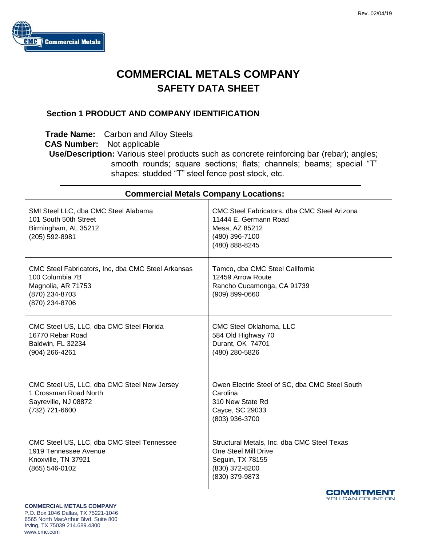

# **COMMERCIAL METALS COMPANY SAFETY DATA SHEET**

#### **Section 1 PRODUCT AND COMPANY IDENTIFICATION**

**Trade Name:** Carbon and Alloy Steels

**CAS Number:** Not applicable

**Use/Description:** Various steel products such as concrete reinforcing bar (rebar); angles; smooth rounds; square sections; flats; channels; beams; special "T" shapes; studded "T" steel fence post stock, etc.

| <b>Commercial Metals Company Locations:</b>                                                                                     |                                                                                                                             |  |
|---------------------------------------------------------------------------------------------------------------------------------|-----------------------------------------------------------------------------------------------------------------------------|--|
| SMI Steel LLC, dba CMC Steel Alabama<br>101 South 50th Street<br>Birmingham, AL 35212<br>(205) 592-8981                         | CMC Steel Fabricators, dba CMC Steel Arizona<br>11444 E. Germann Road<br>Mesa, AZ 85212<br>(480) 396-7100<br>(480) 888-8245 |  |
| CMC Steel Fabricators, Inc, dba CMC Steel Arkansas<br>100 Columbia 7B<br>Magnolia, AR 71753<br>(870) 234-8703<br>(870) 234-8706 | Tamco, dba CMC Steel California<br>12459 Arrow Route<br>Rancho Cucamonga, CA 91739<br>(909) 899-0660                        |  |
| CMC Steel US, LLC, dba CMC Steel Florida<br>16770 Rebar Road<br>Baldwin, FL 32234<br>(904) 266-4261                             | CMC Steel Oklahoma, LLC<br>584 Old Highway 70<br>Durant, OK 74701<br>(480) 280-5826                                         |  |
| CMC Steel US, LLC, dba CMC Steel New Jersey<br>1 Crossman Road North<br>Sayreville, NJ 08872<br>(732) 721-6600                  | Owen Electric Steel of SC, dba CMC Steel South<br>Carolina<br>310 New State Rd<br>Cayce, SC 29033<br>(803) 936-3700         |  |
| CMC Steel US, LLC, dba CMC Steel Tennessee<br>1919 Tennessee Avenue<br>Knoxville, TN 37921<br>(865) 546-0102                    | Structural Metals, Inc. dba CMC Steel Texas<br>One Steel Mill Drive<br>Seguin, TX 78155<br>(830) 372-8200<br>(830) 379-9873 |  |

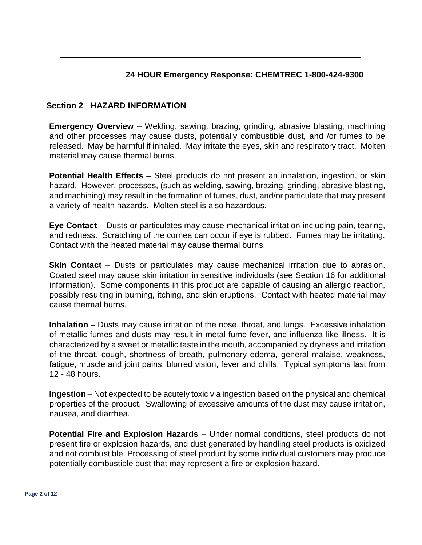# **24 HOUR Emergency Response: CHEMTREC 1-800-424-9300**

# **Section 2 HAZARD INFORMATION**

**Emergency Overview** – Welding, sawing, brazing, grinding, abrasive blasting, machining and other processes may cause dusts, potentially combustible dust, and /or fumes to be released. May be harmful if inhaled. May irritate the eyes, skin and respiratory tract. Molten material may cause thermal burns.

**Potential Health Effects** – Steel products do not present an inhalation, ingestion, or skin hazard. However, processes, (such as welding, sawing, brazing, grinding, abrasive blasting, and machining) may result in the formation of fumes, dust, and/or particulate that may present a variety of health hazards. Molten steel is also hazardous.

**Eye Contact** – Dusts or particulates may cause mechanical irritation including pain, tearing, and redness. Scratching of the cornea can occur if eye is rubbed. Fumes may be irritating. Contact with the heated material may cause thermal burns.

**Skin Contact** – Dusts or particulates may cause mechanical irritation due to abrasion. Coated steel may cause skin irritation in sensitive individuals (see Section 16 for additional information). Some components in this product are capable of causing an allergic reaction, possibly resulting in burning, itching, and skin eruptions. Contact with heated material may cause thermal burns.

**Inhalation** – Dusts may cause irritation of the nose, throat, and lungs. Excessive inhalation of metallic fumes and dusts may result in metal fume fever, and influenza-like illness. It is characterized by a sweet or metallic taste in the mouth, accompanied by dryness and irritation of the throat, cough, shortness of breath, pulmonary edema, general malaise, weakness, fatigue, muscle and joint pains, blurred vision, fever and chills. Typical symptoms last from 12 - 48 hours.

**Ingestion** – Not expected to be acutely toxic via ingestion based on the physical and chemical properties of the product. Swallowing of excessive amounts of the dust may cause irritation, nausea, and diarrhea.

**Potential Fire and Explosion Hazards** – Under normal conditions, steel products do not present fire or explosion hazards, and dust generated by handling steel products is oxidized and not combustible. Processing of steel product by some individual customers may produce potentially combustible dust that may represent a fire or explosion hazard.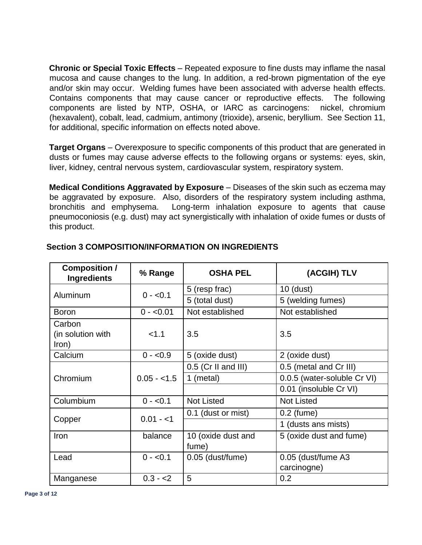**Chronic or Special Toxic Effects** – Repeated exposure to fine dusts may inflame the nasal mucosa and cause changes to the lung. In addition, a red-brown pigmentation of the eye and/or skin may occur. Welding fumes have been associated with adverse health effects. Contains components that may cause cancer or reproductive effects. The following components are listed by NTP, OSHA, or IARC as carcinogens: nickel, chromium (hexavalent), cobalt, lead, cadmium, antimony (trioxide), arsenic, beryllium. See Section 11, for additional, specific information on effects noted above.

**Target Organs** – Overexposure to specific components of this product that are generated in dusts or fumes may cause adverse effects to the following organs or systems: eyes, skin, liver, kidney, central nervous system, cardiovascular system, respiratory system.

**Medical Conditions Aggravated by Exposure** – Diseases of the skin such as eczema may be aggravated by exposure. Also, disorders of the respiratory system including asthma, bronchitis and emphysema. Long-term inhalation exposure to agents that cause pneumoconiosis (e.g. dust) may act synergistically with inhalation of oxide fumes or dusts of this product.

| <b>Composition /</b><br><b>Ingredients</b> | % Range      | <b>OSHA PEL</b>             | (ACGIH) TLV                 |
|--------------------------------------------|--------------|-----------------------------|-----------------------------|
|                                            | $0 - 0.1$    | 5 (resp frac)               | $10$ (dust)                 |
| Aluminum                                   |              | 5 (total dust)              | 5 (welding fumes)           |
| <b>Boron</b>                               | $0 - 0.01$   | Not established             | Not established             |
| Carbon<br>(in solution with<br>Iron)       | < 1.1        | 3.5                         | 3.5                         |
| Calcium                                    | $0 - 0.9$    | 5 (oxide dust)              | 2 (oxide dust)              |
|                                            |              | $0.5$ (Cr II and III)       | 0.5 (metal and Cr III)      |
| Chromium                                   | $0.05 - 1.5$ | 1 (metal)                   | 0.0.5 (water-soluble Cr VI) |
|                                            |              |                             | 0.01 (insoluble Cr VI)      |
| Columbium                                  | $0 - 0.1$    | <b>Not Listed</b>           | <b>Not Listed</b>           |
|                                            | $0.01 - 1$   | 0.1 (dust or mist)          | $0.2$ (fume)                |
| Copper                                     |              | 1 (dusts ans mists)         |                             |
| Iron                                       | balance      | 10 (oxide dust and<br>fume) | 5 (oxide dust and fume)     |
| Lead                                       | $0 - 0.1$    | 0.05 (dust/fume)            | 0.05 (dust/fume A3          |
|                                            |              |                             | carcinogne)                 |
| Manganese                                  | $0.3 - 2$    | 5                           | 0.2                         |

# **Section 3 COMPOSITION/INFORMATION ON INGREDIENTS**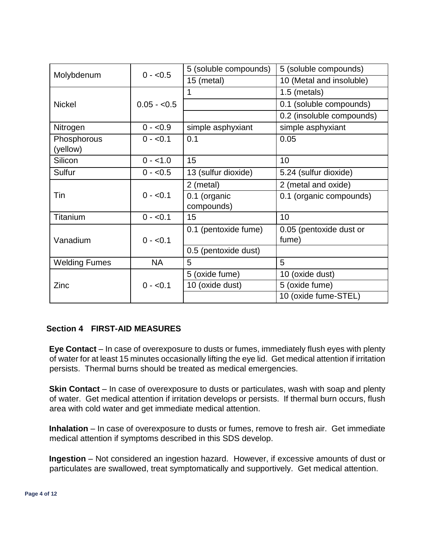|                      | $0 - 0.5$    | 5 (soluble compounds) | 5 (soluble compounds)     |
|----------------------|--------------|-----------------------|---------------------------|
| Molybdenum           |              | 15 (metal)            | 10 (Metal and insoluble)  |
|                      |              | 1                     | 1.5 (metals)              |
| <b>Nickel</b>        | $0.05 - 0.5$ |                       | 0.1 (soluble compounds)   |
|                      |              |                       | 0.2 (insoluble compounds) |
| Nitrogen             | $0 - 0.9$    | simple asphyxiant     | simple asphyxiant         |
| Phosphorous          | $0 - 0.1$    | 0.1                   | 0.05                      |
| (yellow)             |              |                       |                           |
| Silicon              | $0 - 1.0$    | 15                    | 10                        |
| Sulfur               | $0 - 0.5$    | 13 (sulfur dioxide)   | 5.24 (sulfur dioxide)     |
|                      |              | 2 (metal)             | 2 (metal and oxide)       |
| Tin                  | $0 - 0.1$    | 0.1 (organic          | 0.1 (organic compounds)   |
|                      |              | compounds)            |                           |
| Titanium             | $0 - 0.1$    | 15                    | 10                        |
|                      |              | 0.1 (pentoxide fume)  | 0.05 (pentoxide dust or   |
| Vanadium             | $0 - 0.1$    |                       | fume)                     |
|                      |              | 0.5 (pentoxide dust)  |                           |
| <b>Welding Fumes</b> | <b>NA</b>    | 5                     | 5                         |
|                      |              | 5 (oxide fume)        | 10 (oxide dust)           |
| Zinc                 | $0 - 0.1$    | 10 (oxide dust)       | 5 (oxide fume)            |
|                      |              |                       | 10 (oxide fume-STEL)      |

#### **Section 4 FIRST-AID MEASURES**

**Eye Contact** – In case of overexposure to dusts or fumes, immediately flush eyes with plenty of water for at least 15 minutes occasionally lifting the eye lid. Get medical attention if irritation persists. Thermal burns should be treated as medical emergencies.

**Skin Contact** – In case of overexposure to dusts or particulates, wash with soap and plenty of water. Get medical attention if irritation develops or persists. If thermal burn occurs, flush area with cold water and get immediate medical attention.

**Inhalation** – In case of overexposure to dusts or fumes, remove to fresh air. Get immediate medical attention if symptoms described in this SDS develop.

**Ingestion** – Not considered an ingestion hazard. However, if excessive amounts of dust or particulates are swallowed, treat symptomatically and supportively. Get medical attention.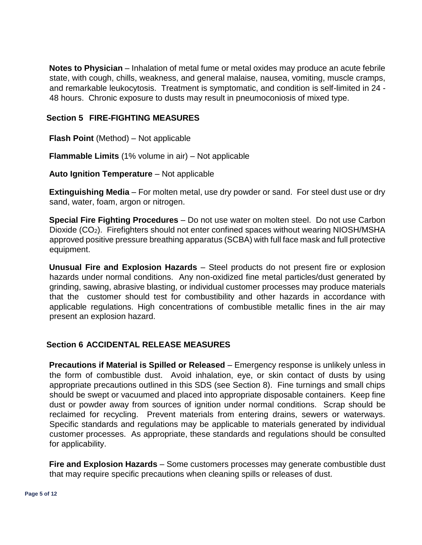**Notes to Physician** – Inhalation of metal fume or metal oxides may produce an acute febrile state, with cough, chills, weakness, and general malaise, nausea, vomiting, muscle cramps, and remarkable leukocytosis. Treatment is symptomatic, and condition is self-limited in 24 - 48 hours. Chronic exposure to dusts may result in pneumoconiosis of mixed type.

#### **Section 5 FIRE-FIGHTING MEASURES**

**Flash Point** (Method) – Not applicable

**Flammable Limits** (1% volume in air) – Not applicable

**Auto Ignition Temperature** – Not applicable

**Extinguishing Media** – For molten metal, use dry powder or sand. For steel dust use or dry sand, water, foam, argon or nitrogen.

**Special Fire Fighting Procedures** – Do not use water on molten steel. Do not use Carbon Dioxide (CO<sub>2</sub>). Firefighters should not enter confined spaces without wearing NIOSH/MSHA approved positive pressure breathing apparatus (SCBA) with full face mask and full protective equipment.

**Unusual Fire and Explosion Hazards** – Steel products do not present fire or explosion hazards under normal conditions. Any non-oxidized fine metal particles/dust generated by grinding, sawing, abrasive blasting, or individual customer processes may produce materials that the customer should test for combustibility and other hazards in accordance with applicable regulations. High concentrations of combustible metallic fines in the air may present an explosion hazard.

# **Section 6 ACCIDENTAL RELEASE MEASURES**

**Precautions if Material is Spilled or Released** – Emergency response is unlikely unless in the form of combustible dust. Avoid inhalation, eye, or skin contact of dusts by using appropriate precautions outlined in this SDS (see Section 8). Fine turnings and small chips should be swept or vacuumed and placed into appropriate disposable containers. Keep fine dust or powder away from sources of ignition under normal conditions. Scrap should be reclaimed for recycling. Prevent materials from entering drains, sewers or waterways. Specific standards and regulations may be applicable to materials generated by individual customer processes. As appropriate, these standards and regulations should be consulted for applicability.

**Fire and Explosion Hazards** – Some customers processes may generate combustible dust that may require specific precautions when cleaning spills or releases of dust.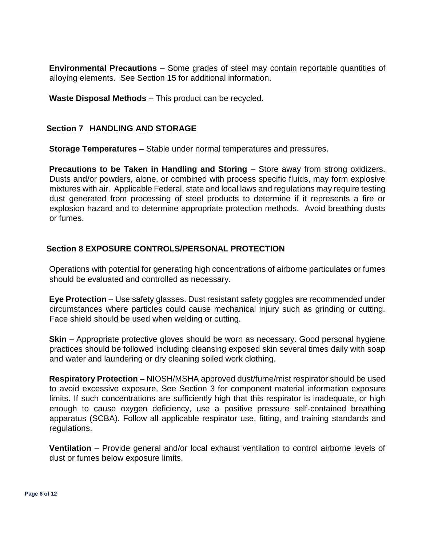**Environmental Precautions** – Some grades of steel may contain reportable quantities of alloying elements. See Section 15 for additional information.

**Waste Disposal Methods** – This product can be recycled.

#### **Section 7 HANDLING AND STORAGE**

**Storage Temperatures** – Stable under normal temperatures and pressures.

**Precautions to be Taken in Handling and Storing** – Store away from strong oxidizers. Dusts and/or powders, alone, or combined with process specific fluids, may form explosive mixtures with air. Applicable Federal, state and local laws and regulations may require testing dust generated from processing of steel products to determine if it represents a fire or explosion hazard and to determine appropriate protection methods. Avoid breathing dusts or fumes.

# **Section 8 EXPOSURE CONTROLS/PERSONAL PROTECTION**

Operations with potential for generating high concentrations of airborne particulates or fumes should be evaluated and controlled as necessary.

**Eye Protection** – Use safety glasses. Dust resistant safety goggles are recommended under circumstances where particles could cause mechanical injury such as grinding or cutting. Face shield should be used when welding or cutting.

**Skin** – Appropriate protective gloves should be worn as necessary. Good personal hygiene practices should be followed including cleansing exposed skin several times daily with soap and water and laundering or dry cleaning soiled work clothing.

**Respiratory Protection** – NIOSH/MSHA approved dust/fume/mist respirator should be used to avoid excessive exposure. See Section 3 for component material information exposure limits. If such concentrations are sufficiently high that this respirator is inadequate, or high enough to cause oxygen deficiency, use a positive pressure self-contained breathing apparatus (SCBA). Follow all applicable respirator use, fitting, and training standards and regulations.

**Ventilation** – Provide general and/or local exhaust ventilation to control airborne levels of dust or fumes below exposure limits.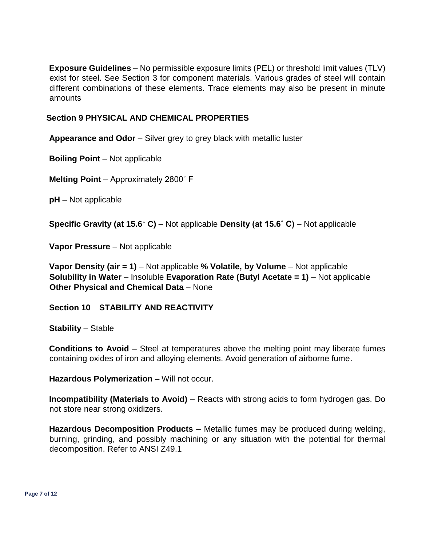**Exposure Guidelines** – No permissible exposure limits (PEL) or threshold limit values (TLV) exist for steel. See Section 3 for component materials. Various grades of steel will contain different combinations of these elements. Trace elements may also be present in minute amounts

#### **Section 9 PHYSICAL AND CHEMICAL PROPERTIES**

**Appearance and Odor** – Silver grey to grey black with metallic luster

**Boiling Point** – Not applicable

**Melting Point** – Approximately 2800˚ F

**pH** – Not applicable

**Specific Gravity (at 15.6˚ C)** – Not applicable **Density (at 15.6˚ C)** – Not applicable

**Vapor Pressure** – Not applicable

**Vapor Density (air = 1)** – Not applicable **% Volatile, by Volume** – Not applicable **Solubility in Water** – Insoluble **Evaporation Rate (Butyl Acetate = 1)** – Not applicable **Other Physical and Chemical Data** – None

#### **Section 10 STABILITY AND REACTIVITY**

**Stability** – Stable

**Conditions to Avoid** – Steel at temperatures above the melting point may liberate fumes containing oxides of iron and alloying elements. Avoid generation of airborne fume.

**Hazardous Polymerization** - Will not occur.

**Incompatibility (Materials to Avoid)** – Reacts with strong acids to form hydrogen gas. Do not store near strong oxidizers.

**Hazardous Decomposition Products** – Metallic fumes may be produced during welding, burning, grinding, and possibly machining or any situation with the potential for thermal decomposition. Refer to ANSI Z49.1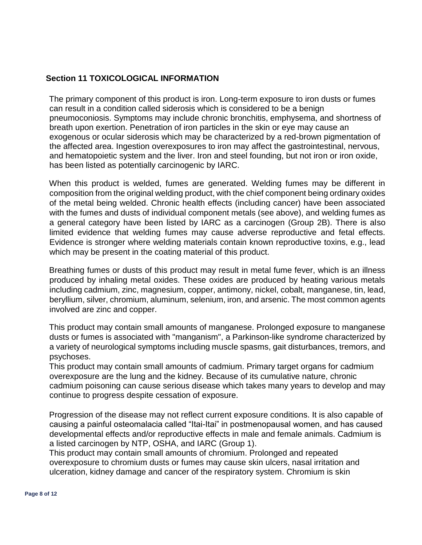# **Section 11 TOXICOLOGICAL INFORMATION**

The primary component of this product is iron. Long-term exposure to iron dusts or fumes can result in a condition called siderosis which is considered to be a benign pneumoconiosis. Symptoms may include chronic bronchitis, emphysema, and shortness of breath upon exertion. Penetration of iron particles in the skin or eye may cause an exogenous or ocular siderosis which may be characterized by a red-brown pigmentation of the affected area. Ingestion overexposures to iron may affect the gastrointestinal, nervous, and hematopoietic system and the liver. Iron and steel founding, but not iron or iron oxide, has been listed as potentially carcinogenic by IARC.

When this product is welded, fumes are generated. Welding fumes may be different in composition from the original welding product, with the chief component being ordinary oxides of the metal being welded. Chronic health effects (including cancer) have been associated with the fumes and dusts of individual component metals (see above), and welding fumes as a general category have been listed by IARC as a carcinogen (Group 2B). There is also limited evidence that welding fumes may cause adverse reproductive and fetal effects. Evidence is stronger where welding materials contain known reproductive toxins, e.g., lead which may be present in the coating material of this product.

Breathing fumes or dusts of this product may result in metal fume fever, which is an illness produced by inhaling metal oxides. These oxides are produced by heating various metals including cadmium, zinc, magnesium, copper, antimony, nickel, cobalt, manganese, tin, lead, beryllium, silver, chromium, aluminum, selenium, iron, and arsenic. The most common agents involved are zinc and copper.

This product may contain small amounts of manganese. Prolonged exposure to manganese dusts or fumes is associated with "manganism", a Parkinson-like syndrome characterized by a variety of neurological symptoms including muscle spasms, gait disturbances, tremors, and psychoses.

This product may contain small amounts of cadmium. Primary target organs for cadmium overexposure are the lung and the kidney. Because of its cumulative nature, chronic cadmium poisoning can cause serious disease which takes many years to develop and may continue to progress despite cessation of exposure.

Progression of the disease may not reflect current exposure conditions. It is also capable of causing a painful osteomalacia called "Itai-Itai" in postmenopausal women, and has caused developmental effects and/or reproductive effects in male and female animals. Cadmium is a listed carcinogen by NTP, OSHA, and IARC (Group 1).

This product may contain small amounts of chromium. Prolonged and repeated overexposure to chromium dusts or fumes may cause skin ulcers, nasal irritation and ulceration, kidney damage and cancer of the respiratory system. Chromium is skin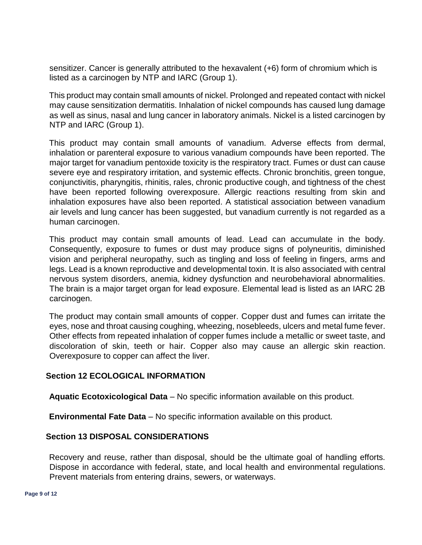sensitizer. Cancer is generally attributed to the hexavalent (+6) form of chromium which is listed as a carcinogen by NTP and IARC (Group 1).

This product may contain small amounts of nickel. Prolonged and repeated contact with nickel may cause sensitization dermatitis. Inhalation of nickel compounds has caused lung damage as well as sinus, nasal and lung cancer in laboratory animals. Nickel is a listed carcinogen by NTP and IARC (Group 1).

This product may contain small amounts of vanadium. Adverse effects from dermal, inhalation or parenteral exposure to various vanadium compounds have been reported. The major target for vanadium pentoxide toxicity is the respiratory tract. Fumes or dust can cause severe eye and respiratory irritation, and systemic effects. Chronic bronchitis, green tongue, conjunctivitis, pharyngitis, rhinitis, rales, chronic productive cough, and tightness of the chest have been reported following overexposure. Allergic reactions resulting from skin and inhalation exposures have also been reported. A statistical association between vanadium air levels and lung cancer has been suggested, but vanadium currently is not regarded as a human carcinogen.

This product may contain small amounts of lead. Lead can accumulate in the body. Consequently, exposure to fumes or dust may produce signs of polyneuritis, diminished vision and peripheral neuropathy, such as tingling and loss of feeling in fingers, arms and legs. Lead is a known reproductive and developmental toxin. It is also associated with central nervous system disorders, anemia, kidney dysfunction and neurobehavioral abnormalities. The brain is a major target organ for lead exposure. Elemental lead is listed as an IARC 2B carcinogen.

The product may contain small amounts of copper. Copper dust and fumes can irritate the eyes, nose and throat causing coughing, wheezing, nosebleeds, ulcers and metal fume fever. Other effects from repeated inhalation of copper fumes include a metallic or sweet taste, and discoloration of skin, teeth or hair. Copper also may cause an allergic skin reaction. Overexposure to copper can affect the liver.

# **Section 12 ECOLOGICAL INFORMATION**

**Aquatic Ecotoxicological Data** – No specific information available on this product.

**Environmental Fate Data** – No specific information available on this product.

# **Section 13 DISPOSAL CONSIDERATIONS**

Recovery and reuse, rather than disposal, should be the ultimate goal of handling efforts. Dispose in accordance with federal, state, and local health and environmental regulations. Prevent materials from entering drains, sewers, or waterways.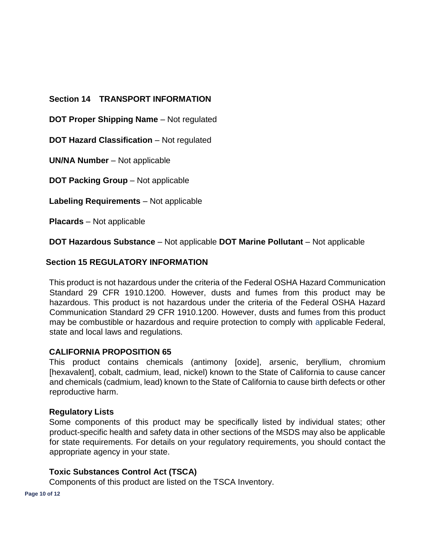# **Section 14 TRANSPORT INFORMATION**

**DOT Proper Shipping Name** – Not regulated

**DOT Hazard Classification** – Not regulated

**UN/NA Number** – Not applicable

**DOT Packing Group** – Not applicable

**Labeling Requirements** – Not applicable

**Placards** – Not applicable

**DOT Hazardous Substance** – Not applicable **DOT Marine Pollutant** – Not applicable

# **Section 15 REGULATORY INFORMATION**

This product is not hazardous under the criteria of the Federal OSHA Hazard Communication Standard 29 CFR 1910.1200. However, dusts and fumes from this product may be hazardous. This product is not hazardous under the criteria of the Federal OSHA Hazard Communication Standard 29 CFR 1910.1200. However, dusts and fumes from this product may be combustible or hazardous and require protection to comply with applicable Federal, state and local laws and regulations.

#### **CALIFORNIA PROPOSITION 65**

This product contains chemicals (antimony [oxide], arsenic, beryllium, chromium [hexavalent], cobalt, cadmium, lead, nickel) known to the State of California to cause cancer and chemicals (cadmium, lead) known to the State of California to cause birth defects or other reproductive harm.

#### **Regulatory Lists**

Some components of this product may be specifically listed by individual states; other product-specific health and safety data in other sections of the MSDS may also be applicable for state requirements. For details on your regulatory requirements, you should contact the appropriate agency in your state.

#### **Toxic Substances Control Act (TSCA)**

Components of this product are listed on the TSCA Inventory.

**Page 10 of 12**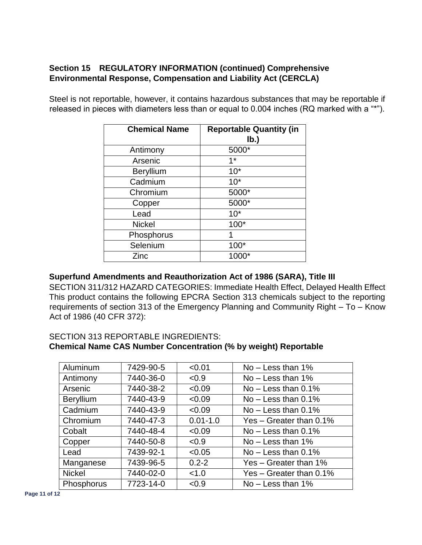# **Section 15 REGULATORY INFORMATION (continued) Comprehensive Environmental Response, Compensation and Liability Act (CERCLA)**

Steel is not reportable, however, it contains hazardous substances that may be reportable if released in pieces with diameters less than or equal to 0.004 inches (RQ marked with a "\*").

| <b>Chemical Name</b> | <b>Reportable Quantity (in</b> |
|----------------------|--------------------------------|
|                      | lb.)                           |
| Antimony             | 5000*                          |
| Arsenic              | $1*$                           |
| <b>Beryllium</b>     | $10*$                          |
| Cadmium              | $10*$                          |
| Chromium             | 5000*                          |
| Copper               | 5000*                          |
| Lead                 | $10*$                          |
| <b>Nickel</b>        | 100*                           |
| Phosphorus           | 1                              |
| Selenium             | $100*$                         |
| Zinc                 |                                |

# **Superfund Amendments and Reauthorization Act of 1986 (SARA), Title III**

SECTION 311/312 HAZARD CATEGORIES: Immediate Health Effect, Delayed Health Effect This product contains the following EPCRA Section 313 chemicals subject to the reporting requirements of section 313 of the Emergency Planning and Community Right – To – Know Act of 1986 (40 CFR 372):

# SECTION 313 REPORTABLE INGREDIENTS: **Chemical Name CAS Number Concentration (% by weight) Reportable**

| Aluminum         | 7429-90-5 | < 0.01       | $No - Less than 1\%$      |
|------------------|-----------|--------------|---------------------------|
| Antimony         | 7440-36-0 | < 0.9        | $No - Less than 1\%$      |
| Arsenic          | 7440-38-2 | < 0.09       | $No - Less than 0.1\%$    |
| <b>Beryllium</b> | 7440-43-9 | < 0.09       | $No - Less than 0.1\%$    |
| Cadmium          | 7440-43-9 | < 0.09       | $No - Less than 0.1\%$    |
| Chromium         | 7440-47-3 | $0.01 - 1.0$ | Yes $-$ Greater than 0.1% |
| Cobalt           | 7440-48-4 | < 0.09       | $No - Less than 0.1\%$    |
| Copper           | 7440-50-8 | < 0.9        | $No - Less than 1\%$      |
| Lead             | 7439-92-1 | < 0.05       | $No - Less than 0.1\%$    |
| Manganese        | 7439-96-5 | $0.2 - 2$    | Yes – Greater than $1\%$  |
| <b>Nickel</b>    | 7440-02-0 | < 1.0        | Yes $-$ Greater than 0.1% |
| Phosphorus       | 7723-14-0 | < 0.9        | $No - Less than 1\%$      |